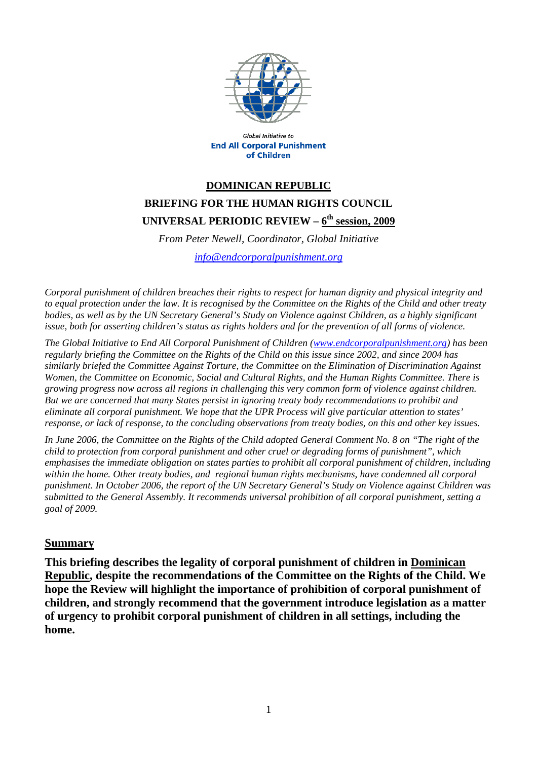

**Global Initiative to End All Corporal Punishment** of Children

## **DOMINICAN REPUBLIC BRIEFING FOR THE HUMAN RIGHTS COUNCIL UNIVERSAL PERIODIC REVIEW – 6th session, 2009**

*From Peter Newell, Coordinator, Global Initiative info@endcorporalpunishment.org*

*Corporal punishment of children breaches their rights to respect for human dignity and physical integrity and to equal protection under the law. It is recognised by the Committee on the Rights of the Child and other treaty bodies, as well as by the UN Secretary General's Study on Violence against Children, as a highly significant issue, both for asserting children's status as rights holders and for the prevention of all forms of violence.* 

*The Global Initiative to End All Corporal Punishment of Children (www.endcorporalpunishment.org) has been regularly briefing the Committee on the Rights of the Child on this issue since 2002, and since 2004 has similarly briefed the Committee Against Torture, the Committee on the Elimination of Discrimination Against Women, the Committee on Economic, Social and Cultural Rights, and the Human Rights Committee. There is growing progress now across all regions in challenging this very common form of violence against children. But we are concerned that many States persist in ignoring treaty body recommendations to prohibit and eliminate all corporal punishment. We hope that the UPR Process will give particular attention to states' response, or lack of response, to the concluding observations from treaty bodies, on this and other key issues.* 

*In June 2006, the Committee on the Rights of the Child adopted General Comment No. 8 on "The right of the child to protection from corporal punishment and other cruel or degrading forms of punishment", which emphasises the immediate obligation on states parties to prohibit all corporal punishment of children, including within the home. Other treaty bodies, and regional human rights mechanisms, have condemned all corporal punishment. In October 2006, the report of the UN Secretary General's Study on Violence against Children was submitted to the General Assembly. It recommends universal prohibition of all corporal punishment, setting a goal of 2009.*

## **Summary**

**This briefing describes the legality of corporal punishment of children in Dominican Republic, despite the recommendations of the Committee on the Rights of the Child. We hope the Review will highlight the importance of prohibition of corporal punishment of children, and strongly recommend that the government introduce legislation as a matter of urgency to prohibit corporal punishment of children in all settings, including the home.**